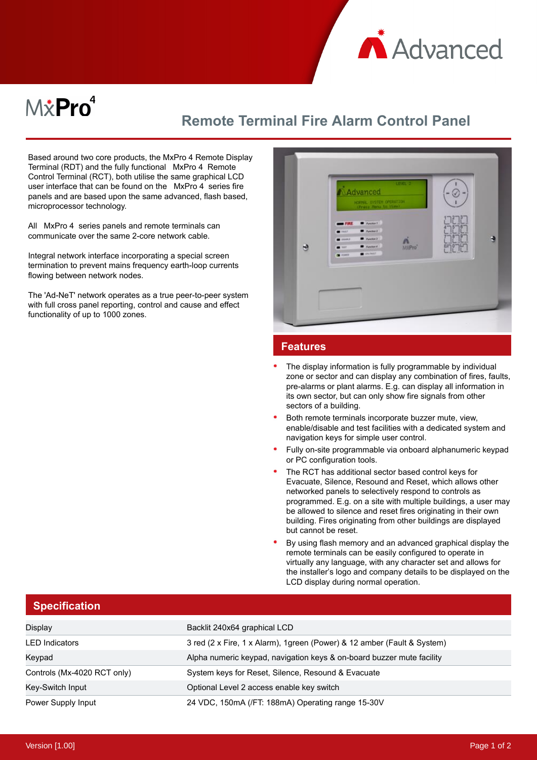

## $M\ddot{x}$ Pro $^4$

## **Remote Terminal Fire Alarm Control Panel**

Based around two core products, the MxPro 4 Remote Display Terminal (RDT) and the fully functional MxPro 4 Remote Control Terminal (RCT), both utilise the same graphical LCD user interface that can be found on the MxPro 4 series fire panels and are based upon the same advanced, flash based, microprocessor technology.

All MxPro 4 series panels and remote terminals can communicate over the same 2-core network cable.

Integral network interface incorporating a special screen termination to prevent mains frequency earth-loop currents flowing between network nodes.

The 'Ad-NeT' network operates as a true peer-to-peer system with full cross panel reporting, control and cause and effect functionality of up to 1000 zones.

| LEIEL 2<br>Advanced<br>NORMAL EVITER OPERATION<br><b>B</b> Factor T<br>$=$ FIRE<br>$\blacksquare$ <b>Function 3</b><br>$\blacksquare$             |               |  |
|---------------------------------------------------------------------------------------------------------------------------------------------------|---------------|--|
| $p_{\text{remin}}$<br><br>$\sum_{M\in\mathbf{P}^{(n)}}$<br>$\blacksquare$ Function $\ell$<br>$\blacksquare$<br><b>B</b> inchest<br>$\blacksquare$ | <u>enenen</u> |  |

## **Features**

- The display information is fully programmable by individual zone or sector and can display any combination of fires, faults, pre-alarms or plant alarms. E.g. can display all information in its own sector, but can only show fire signals from other sectors of a building.
- Both remote terminals incorporate buzzer mute, view, enable/disable and test facilities with a dedicated system and navigation keys for simple user control.
- Fully on-site programmable via onboard alphanumeric keypad or PC configuration tools.
- The RCT has additional sector based control keys for Evacuate, Silence, Resound and Reset, which allows other networked panels to selectively respond to controls as programmed. E.g. on a site with multiple buildings, a user may be allowed to silence and reset fires originating in their own building. Fires originating from other buildings are displayed but cannot be reset.
- By using flash memory and an advanced graphical display the remote terminals can be easily configured to operate in virtually any language, with any character set and allows for the installer's logo and company details to be displayed on the LCD display during normal operation.

|  | <b>Specification</b> |  |
|--|----------------------|--|

| Display                     | Backlit 240x64 graphical LCD                                             |
|-----------------------------|--------------------------------------------------------------------------|
| <b>LED</b> Indicators       | 3 red (2 x Fire, 1 x Alarm), 1 green (Power) & 12 amber (Fault & System) |
| Keypad                      | Alpha numeric keypad, navigation keys & on-board buzzer mute facility    |
| Controls (Mx-4020 RCT only) | System keys for Reset, Silence, Resound & Evacuate                       |
| Key-Switch Input            | Optional Level 2 access enable key switch                                |
| Power Supply Input          | 24 VDC, 150mA (/FT: 188mA) Operating range 15-30V                        |